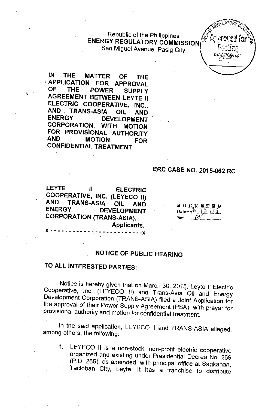Republic of the Philippines **ENERGY REGULATORY COMMISSION** San Miguel Avenue, Pasig City



IN THE MATTER OF THE **APPLICATION FOR APPROVAL<br>OF THE POWER SUPPLY** POWER SUPPLY AGREEMENT BETWEEN LEYTE II ELECTRIC COOPERATIVE, INC., **AND TRANS-ASIA OIL AND**<br>ENERGY DEVELOPMENT **DEVELOPMENT** CORPORATION, WITH MOTION FOR PROVISIONAL AUTHORITY MOTION FOR CONFIDENTIAL TREATMENT

## ERC CASE NO. 2015-062 RC

LEYTE II ELECTRIC COOPERATIVE, INC. (LEYECO II)<br>AND TRANS-ASIA OIL AND AND TRANS-ASIA OIL AND **DEVELOPMENT** CORPORATION (TRANS-ASIA), Applicants.  $- - -x$ 

Ii 0 .c.K Iil.:r Ii II Date.,.JUNN~' "'1' "-,::.'-'-0\_ •• *i.'I.~.* "'" .........•....\_ .....\_.

## NOTICE OF PUBLIC HEARING

## TO ALL INTERESTED PARTIES:

Notice is hereby given that on March 30, 2015, Leyte II Electric Cooperative, Inc. (LEYECO II) and Trans-Asia Oil and Energy Development Corporation (TRANS-ASIA) filed a Joint Application for the approval of their Power Supply Agreement (PSA), with prayer for provisional authority and motion for confidential treatment.

In the said application, LEYECO II and TRANS-ASIA alleged, among others, the following:

1. LEYECO II is a non-stock, non-profit electric cooperative organized and existing under Presidential Decree No. 269 (P.D. 269), as amended, with principal office at Sagkahan, Tacloban City, Leyte. It has a franchise to distribute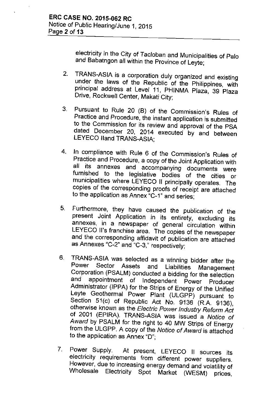electricity in the City of Tacloban and Municipalities of Palo and Babatngon all within the Province of Leyte;

- 2. TRANS-ASIA is a corporation duly organized and existing under the laws of the Republic of the Philippines, with principal address at Level 11, PHINMA Plaza, 39 Plaza Drive, Rockwell Center, Makati City;
- 3. Pursuant to Rule 20 (B) of the Commission's Rules of Practice and Procedure, the instant application is submitted to the Commission for its review and approval of the PSA dated December 20, 2014 executed by and between LEYECO lIand TRANS-ASIA;
- 4. In compliance with Rule 6 of the Commission's Rules of Practice and Procedure, a copy of the Joint Application with all its annexes and accompanying documents were furnished to the legislative bodies of the cities or municipalities where LEYECO II principally operates. The copies of the corresponding proofs of receipt are attached to the application as Annex "C-1" and series;
- 5. Furthermore, they have caused the publication of the present Joint Application in its entirety, excluding its annexes, in a newspaper of general circulation within LEYECO II's franchise area. The copies of the newspaper and the corresponding affidavit of publication are attached as Annexes "C-2" and "C-3," respectively;
- 6. TRANS-ASIA was selected as a winning bidder after the Power Sector Assets and Liabilities Management Corporation (PSALM) conducted a bidding for the selection<br>and appointment of Independent Bours, Producer appointment of Independent Power Producer Administrator (IPPA) for the Strips of Energy of the Unified Leyte Geothermal Power Plant (ULGPP) pursuant to Section 51(c) of Republic Act No. 9136 (R.A. 9136), otherwise known as the *Electric Power Industry Reform Act* of 2001 (EPIRA). TRANS-ASIA was issued a *Notice of Award* by PSALM for the right to 40 MW Strips of Energy from the ULGPP. A copy of the *Notice of Award* is attached to the application as Annex "0";
- 7. Power Supply. At present, LEYECO II sources its electricity requirements from different power suppliers. However, due to increasing energy demand and volatility of Wholesale Electricity Spot Market (WESM) prices,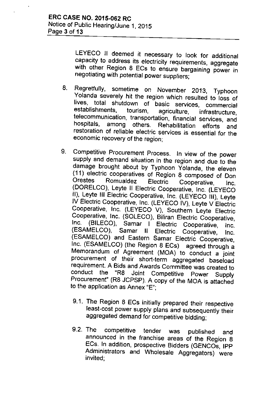LEYECO II deemed it necessary to look for additional capacity to address its electricity requirements, aggregate with other Region 8 ECs to ensure bargaining power in negotiating with potential power suppliers;

- 8. Regretfully, sometime on November 2013, Typhoon Yolanda severely hit the region which resulted to loss of lives, total shutdown of basic services, commercial establishments, tourism, agriculture, infrastructure, telecommunication, transportation, financial services, and hospitals, among others. Rehabilitation efforts and restoration of reliable electric services is essential for the economic recovery of the region;
- 9. Competitive Procurement Process. In view of the power supply and demand situation in the region and due to the damage brought about by Typhoon Yolanda, the eleven (11) electric cooperatives of Region 8 composed of Don Orestes Romualdez Electric Cooperative, Inc. (DORELCO), Leyte II Electric Cooperative, Inc. (LEYECO II), Leyte III Electric Cooperative, Inc. (LEYECO III), Leyte IV Electric Cooperative, Inc. (LEYECO IV), Leyte V Electric Cooperative, Inc. (LEYECO V), Southern Leyte Electric Cooperative, Inc. (SOLECO), Biliran Electric Cooperative,<br>Inc. (BILECO), Samar I, Electric Cooperative, Inc. Inc. (BILECO), Samar I Electric Cooperative, Inc.<br>(ESAMELCO), Samar II Electric Cooperative Inc. (ESAMELCO), Samar II Electric Cooperative, Inc. (ESAMELCO) and Eastern Samar Electric Cooperative, Inc. (ESAMELCO) (the Region 8 ECs) agreed through a Memorandum of Agreement (MOA) to conduct a joint procurement of their short-term aggregated baseload requirement. A Bids and Awards Committee was created to<br>conduct the "R8 Joint Competitive Power Supply "R8 Joint Competitive Power Supply Procurement" (R8 JCPSP). A copy of the MOA is attached to the application as Annex "E";
	- 9.1. The Region 8 ECs initially prepared their respective least-cost power supply plans and subsequently their aggregated demand for competitive bidding;
	- 9.2. The competitive tender was published and announced in the franchise areas of the Region 8 ECs. In addition, prospective Bidders (GENCOs, IPP Administrators and Wholesale Aggregators) were invited;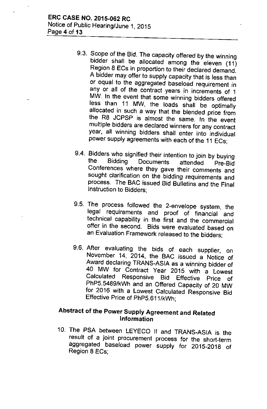- 9.3. Scope of the Bid. The capacity offered by the winning bidder shall be allocated among the eleven (11) Region 8 ECs in proportion to their declared demand. A bidder may offer to supply capacity that is less than or equal to the aggregated baseload requirement in any or all of the contract years in increments of 1 MW. In the event that some winning bidders offered less than 11 MW, the loads shall be optimally allocated in such a way that the blended price from the R8 JCPSP is almost the same. In the event multiple bidders are declared winners for any contract year, all winning bidders shall enter into individual power supply agreements with each of the 11 ECs;
- 9.4. Bidders who signified their intention to join by buying the Bidding Documents attended Pre-Big Conferences where they gave their comments and sought clarification on the bidding requirements and process. The BAC issued Bid Bulletins and the Final Instruction to Bidders;
- 9.5. The process followed the 2-envelope system, the legal requirements and proof of financial and technical capability in the first and the commercial offer in the second. Bids were evaluated based on an Evaluation Framework released to the bidders;
- 9.6. After evaluating the bids of each supplier, on November 14, 2014, the BAC issued a Notice of Award declaring TRANS-ASIA as a winning bidder of 40 MW for Contract Year 2015 with a Lowest Calculated Responsive Bid Effective Price of PhP5.5489/kWh and an Offered Capacity of 20 MW for 2016 with a Lowest Calculated Responsive Bid Effective Price of PhP5.611/kWh;

## Abstract of the Power Supply Agreement and Related Information

10. The PSA between LEYECO II and TRANS-ASIA is the result of a joint procurement process for the short-term aggregated baseload power supply for 2015-2018 of Region 8 ECs;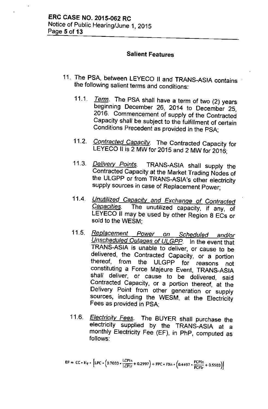#### **Salient Features**

- 11. The PSA, between LEYECO II and TRANS-ASIA contains the following salient terms and conditions:
	- *11.1. Term.* The PSA shall have a term of two (2) years beginning December 26, 2014 to December 25, 2016. Commencement of supply of the Contracted Capacity shall be subject to the fulfillment of certain Conditions Precedent as provided in the PSA;
	- *11.2. Contracted Capacity.* The Contracted Capacity for LEYECO II is 2 MW for 2015 and 2 MW for 2016;
	- *11.3. Delivery Points.* TRANS-ASIA shall supply the Contracted Capacity at the Market Trading Nodes of the ULGPP or from TRANS-ASiA's other electricity supply sources in case of Replacement Power;
	- 11.4. *Unutilized Capacity and Exchange of Contracted Capacities.* The unutilized capacity, if any, of LEYECO II may be used by other Region 8 ECs or sold to the WESM;
	- *11.5. Replacement Power on Scheduled and/or Unscheduled Outages of ULGPP.* In the event that TRANS-ASIA is unable to deliver, or cause to be delivered, the Contracted Capacity, or a portion thereof, from the ULGPP for reasons not constituting a Force Majeure Event, TRANS-ASIA shall deliver, or cause to be delivered, said Contracted Capacity, or a portion thereof, at the Delivery Point from other generation or supply sources, including the WESM, at the Electricity Fees as provided in PSA;
	- *11.6. Electricity Fees.* The BUYER shall purchase the electricity supplied by the TRANS-ASIA at a monthly Electricity Fee (EF), in PhP, computed as follows: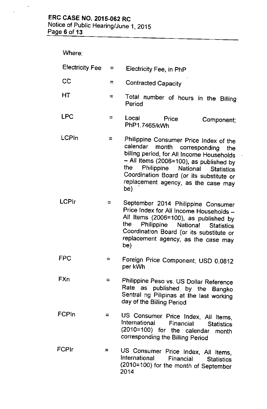Page 6 of **13**

 $\mathcal{A}$ 

 $\bar{\mathbf{r}}$ 

| Where: |  |
|--------|--|
|--------|--|

| <b>Electricity Fee</b> | $=$ $-$  | Electricity Fee, in PhP                                                                                                                                                                                                                                                                                 |  |  |
|------------------------|----------|---------------------------------------------------------------------------------------------------------------------------------------------------------------------------------------------------------------------------------------------------------------------------------------------------------|--|--|
| CČ                     | $=$      | <b>Contracted Capacity</b>                                                                                                                                                                                                                                                                              |  |  |
| HΤ                     | ≂        | Total number of hours in the Billing<br>Period                                                                                                                                                                                                                                                          |  |  |
| LPC                    | ⋍        | Local<br>Price<br>Component;<br>PhP1.7465/kWh                                                                                                                                                                                                                                                           |  |  |
| LCPIn                  | =        | Philippine Consumer Price Index of the<br>calendar month corresponding the<br>billing period, for All Income Households<br>$-$ All Items (2006=100), as published by<br>the<br>Philippine National Statistics<br>Coordination Board (or its substitute or<br>replacement agency, as the case may<br>be) |  |  |
| LCPIr                  | =        | September 2014 Philippine Consumer<br>Price Index for All Income Households -<br>All Items (2006=100), as published by<br>the<br>Philippine National Statistics<br>Coordination Board (or its substitute or<br>replacement agency, as the case may<br>be)                                               |  |  |
| FPC                    | $\equiv$ | Foreign Price Component; USD 0.0812<br>per kWh                                                                                                                                                                                                                                                          |  |  |
| <b>FXn</b>             | Ξ.       | Philippine Peso vs. US Dollar Reference<br>Rate as published by the Bangko<br>Sentral ng Pilipinas at the last working<br>day of the Billing Period                                                                                                                                                     |  |  |
| FCPIn                  |          | US Consumer Price Index, All Items,<br>International<br>Financial<br><b>Statistics</b><br>(2010=100) for the calendar month<br>corresponding the Billing Period                                                                                                                                         |  |  |
| FCPIr                  | =        | US Consumer Price Index, All Items,<br>International<br><b>Financial</b> Statistics<br>(2010=100) for the month of September<br>2014                                                                                                                                                                    |  |  |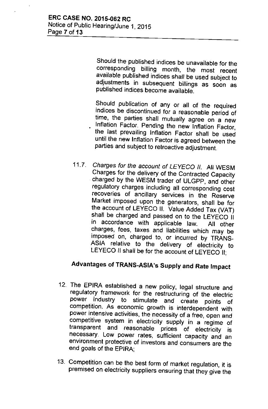Should the published indices be unavailable for the corresponding billing month, the most recent available published indices shall be used subject to adjustments in subsequent billings as soon as published indices become available.

Should publication of any or all of the required indices be discontinued for a reasonable period of time. the parties shall mutually agree on a new Inflation Factor. Pending the new Inflation Factor, the last prevailing Inflation Factor shall be used until the new inflation Factor is agreed between the parties and subject to retroactive adjustment.

*11.7. Charges for the account of LEYECD II.* All WESM Charges for the delivery of the Contracted Capacity charged by the WESM trader of ULGPP, and other regulatory charges including all corresponding cost recoveries of ancillary services in the Reserve Market imposed upon the generators, shall be for the account of LEYECD II. Value Added Tax (VAT) shall be charged and passed on to the LEYECO II in accordance with applicable law. All other charges. fees, taxes and liabilities which may be imposed on, charged to, or incurred by TRANS-ASIA relative to the delivery of electricity to LEYECO II shall be for the account of LEYECO II;

## Advantages of TRANS-ASiA's Supply and Rate Impact

- 12. The EPIRA established a new policy. legal structure and regulatory framework for the restructuring of the electric power industry to stimulate and create points of competition. As economic growth is interdependent with power intensive activities, the necessity of a free, open and competitive system in electricity supply in a regime of transparent and reasonable prices of electricity is necessary. Low power rates. sufficient capacity and an environment protective of investors and consumers are the end goals of the EPIRA;
- 13. Competition can be the best form of market regulation, it is premised on electricity suppliers ensuring that they give the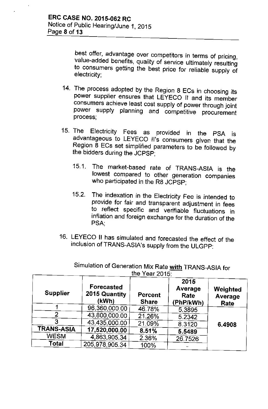best offer, advantage over competitors in terms of pricing, value-added benefits, quality of service ultimately resulting to consumers getting the best price for reliable supply of electricity;

- 14. The process adopted by the Region 8 ECs in choosing its power supplier ensures that LEYECO II and its member consumers achieve least cost supply of power through joint power supply planning and competitive procurement process;
- 15. The Electricity Fees as provided in the PSA is advantageous to LEYECO II's consumers given that the Region 8 ECs set simplified parameters to be followed by the bidders during the JCPSP;
	- 15.1. The market-based rate of TRANS-ASIA is the lowest compared to other generation companies who participated in the R8 JCPSP;
	- 15.2. The indexation in the Electricity Fee is intended to provide for fair and transparent adjustment in fees to reflect specific and verifiable fluctuations in inflation and foreign exchange for the duration of the PSA;
- 16. LEYECO II has simulated and forecasted the effect of the inclusion of TRANS-ASiA's supply from the ULGPP:

| <b>Supplier</b>   | Forecasted<br>2015 Quantity<br>(kWh) | Percent<br><b>Share</b> | 2015<br>Average<br>Rate<br>(PhP/kWh) | Weighted<br>Average<br>Rate |
|-------------------|--------------------------------------|-------------------------|--------------------------------------|-----------------------------|
|                   | 96,360,000.00                        | 46.78%                  | 5.3895                               |                             |
| 2                 | 43,800,000.00                        | 21.26%                  | 5.2342                               |                             |
| 3                 | 43,435,000.00                        | 21.09%                  | 8.3120                               | 6.4908                      |
| <b>TRANS-ASIA</b> | 17,520,000.00                        | 8.51%                   | 5.5489                               |                             |
| <b>WESM</b>       | 4,863,905.34                         | 2.36%                   | 26.7526                              |                             |
| Total             | 205,978,905.34                       | 100%                    |                                      |                             |

Simulation of Generation Mix Rate with TRANS-ASIA for the Year 2015: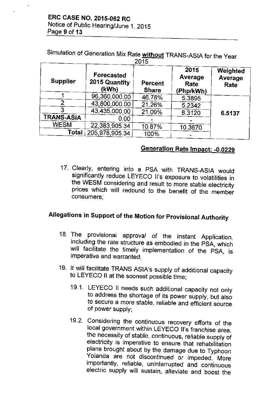Simulation of Generation Mix Rate without TRANS-ASIA for the Year

| 2015              |                                             |                         |                                      |                             |  |  |
|-------------------|---------------------------------------------|-------------------------|--------------------------------------|-----------------------------|--|--|
| <b>Supplier</b>   | <b>Forecasted</b><br>2015 Quantity<br>(kWh) | Percent<br><b>Share</b> | 2015<br>Average<br>Rate<br>(Php/kWh) | Weighted<br>Average<br>Rate |  |  |
|                   | 96,360,000.00                               | 46.78%                  | 5.3895                               |                             |  |  |
| 2                 | 43,800,000,00                               | 21.26%                  | 5.2342                               |                             |  |  |
| 3                 | 43,435,000.00                               | 21.09%                  | 8.3120                               | 6.5137                      |  |  |
| <b>TRANS-ASIA</b> | 0.00                                        |                         |                                      |                             |  |  |
| <b>WESM</b>       | 22,383,905.34                               | 10.87%                  | 10.3670                              |                             |  |  |
| <b>Total</b>      | 205,978,905.34                              | 100%                    |                                      |                             |  |  |

## Generation Rate Impact: -0.0229

17. Clearly, entering into a PSA with TRANS-ASIA would significantly reduce LEYECO II's exposure to volatilities in the WESM considering and result to more stable electricity prices which will redound to the benefit of the member consumers;

# Allegations in Support of the Motion for Provisional Authority

- 18. The provisional approval of the instant Application, including the rate structure as embodied in the PSA, which will facilitate the timely implementation of the PSA, is imperative and warranted;
- 19. It will facilitate TRANS ASIA's supply of additional capacity to LEYECO II at the soonest possible time;
	- 19.1. LEYECO II needs such additional capacity not only to address the shortage of its power supply, but also to secure a more stable, reliable and efficient source of power supply;
	- 19.2. Considering the continuous recovery efforts of the local government within LEYECO II's franchise area, the necessity of stable, continuous, reliable supply of electricity is imperative to ensure that rehabilitation plans brought about by the damage due to Typhoon Yolanda are not discontinued or impeded. More importantly, reliable, uninterrupted and continuous electric supply will sustain, alleviate and boost the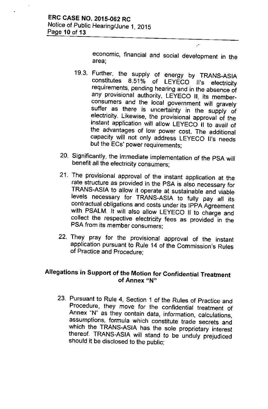economic, financial and social development in the area;

 $\mathcal{L}$ 

- 19.3. Further, the supply of energy by TRANS-ASIA constitutes 8.51% of LEYECO II's electricity requirements, pending hearing and in the absence of any provisional authority, LEYECO II, its memberconsumers and the local government will gravely suffer as there is uncertainty in the supply of electricity. Likewise, the provisional approval of the instant application will allow LEYECO II to avail of the advantages of low power cost. The additional capacity will not only address LEYECO II's needs but the ECs' power requirements;
- 20. Significantly, the immediate implementation of the PSA will benefit all the electricity consumers;
- 21. The provisional approval of the instant application at the rate structure as provided in the PSA is also necessary for TRANS-ASIA to allow it operate at sustainable and viable levels necessary for TRANS-ASIA to fully pay all its contractual obligations and costs under its IPPA Agreement with PSALM. It will also allow LEYECO II to charge and collect the respective electricity fees as provided in the PSA from its member consumers;
- 22. They pray for the provisional approval of the instant application pursuant to Rule 14 of the Commission's Rules of Practice and Procedure;

### Allegations in Support of the Motion for Confidential Treatment of Annex "N"

23. Pursuant to Rule 4, Section 1 of the Rules of Practice and Procedure, they move for the confidential treatment of Annex "N" as they contain data, information, calculations, assumptions, formula which constitute trade secrets and which the TRANS-ASIA has the sole proprietary interest thereof. TRANS-ASIA will stand to be unduly prejudiced should it be disclosed to the public;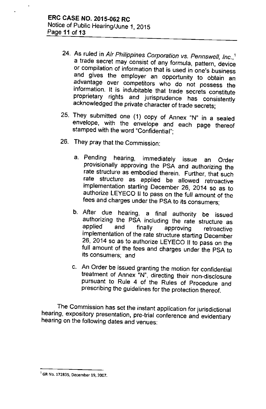- 24. As ruled in Air Philippines Corporation vs. Pennswell, Inc.,<sup>1</sup> a trade secret may consist of any formula, pattern, device or compilation of information that is used in one's business and gives the employer an opportunity to obtain an advantage over competitors who do not possess the information. It is indubitable that trade secrets constitute proprietary rights and jurisprudence has consistently acknowledged the private character of trade secrets;
- 25. They submitted one (1) copy of Annex "N" in a sealed envelope, with the envelope and each page thereof stamped with the word "Confidential";
- 26. They pray that the Commission:
	- a. Pending hearing, immediately issue an Order provisionally approving the PSA and authorizing the rate structure as embodied therein. Further, that such rate structure as applied be allowed retroactive implementation starting December 26, 2014 so as to authorize LEYECO II to pass on the full amount of the fees and charges under the PSA to its consumers;
	- b. After due hearing, a final authority be issued authorizing the PSA including the rate structure as<br>applied and finally approving retreastive applied and finally approving retroactive implementation of the rate structure starting December 26, 2014 so as to authorize LEYECO II to pass on the full amount of the fees and charges under the PSA to its consumers; and
	- c. An Order be issued granting the motion for confidential treatment of Annex "N", directing their non-disclosure pursuant to Rule 4 of the Rules of Procedure and prescribing the guidelines for the protection thereof.

The Commission has set the instant application for jurisdictional hearing, expository presentation, pre-trial conference and evidentiary hearing on the following dates and venues:

**<sup>1</sup> GR** No. 172835, **December 19, 2007.**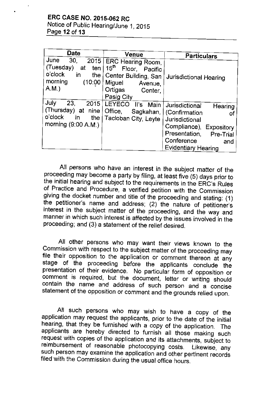Notice of Public Hearing/June 1, 2015 Page **12 of 13**

| <b>Date</b>                                                                                                       | Venue                                                                                                                                       | <b>Particulars</b>                                                                                                                                                                            |
|-------------------------------------------------------------------------------------------------------------------|---------------------------------------------------------------------------------------------------------------------------------------------|-----------------------------------------------------------------------------------------------------------------------------------------------------------------------------------------------|
| June<br>30 <sub>1</sub><br>2015<br>(Tuesday)<br>at<br>ten<br>o'clock<br>in<br>the '<br>morning<br>(10:00)<br>A.M. | ERC Hearing Room,<br>15 <sup>th</sup><br>Floor,<br>Pacific<br>Center Building, San<br>Miguel<br>Avenue,<br>Ortigas<br>Center,<br>Pasig City | Jurisdictional Hearing                                                                                                                                                                        |
| July<br>23,<br>2015<br>(Thursday) at nine<br>o'clock<br>the $\vert$<br>in<br>morning (9:00 A.M.)                  | LEYECO II's Main<br>Office,<br>Tacloban City, Leyte                                                                                         | Jurisdictional<br>Hearing<br>Sagkahan,   (Confirmation<br>Οf<br>Jurisdictional<br>Compliance),<br>Expository<br>Presentation,<br>Pre-Trial<br>Conference<br>and<br><b>Evidentiary Hearing</b> |

All persons who have an interest in the subject matter of the proceeding may become a party by filing, at least five (5) days prior to the initial hearing and subject to the requirements in the ERC's Rules of Practice and Procedure, a verified petition with the Commission giving the docket number and title of the proceeding and stating: (1) the petitioner's name and address; (2) the nature of petitioner's interest in the subject matter of the proceeding, and the way and manner in which such interest is affected by the issues involved in the proceeding; and (3) a statement of the relief desired.

All other persons who may want their views known to the Commission with respect to the subject matter of the proceeding may file their opposition to the application or comment thereon at any stage of the proceeding before the applicants conclude the presentation of their evidence. No particular form of opposition or comment is required, but the document, letter or writing should contain the name and address of such person and a concise statement of the opposition or comment and the grounds relied upon.

All such persons who may wish to have a copy of the application may request the applicants, prior to the date of the initial hearing, that they be furnished with a copy of the application. The applicants are hereby directed to furnish all those making such request with copies of the application and its attachments, subject to reimbursement of reasonable photocopying costs. Likewise, any such person may examine the application and other pertinent records filed with the Commission during the usual office hours.